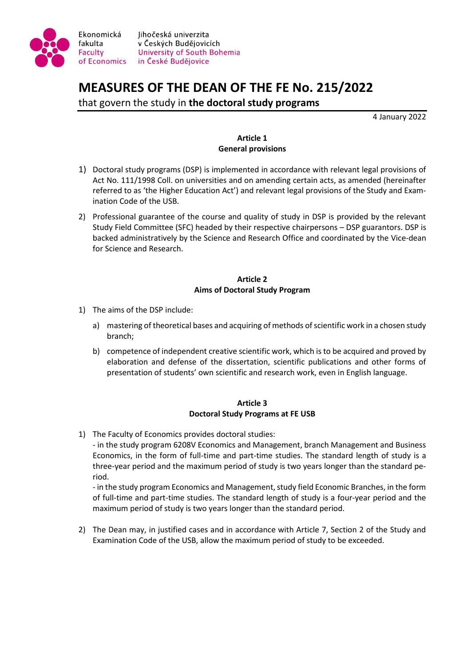

# **MEASURES OF THE DEAN OF THE FE No. 215/2022**

that govern the study in **the doctoral study programs**

4 January 2022

# **Article 1 General provisions**

- 1) Doctoral study programs (DSP) is implemented in accordance with relevant legal provisions of Act No. 111/1998 Coll. on universities and on amending certain acts, as amended (hereinafter referred to as 'the Higher Education Act') and relevant legal provisions of the Study and Examination Code of the USB.
- 2) Professional guarantee of the course and quality of study in DSP is provided by the relevant Study Field Committee (SFC) headed by their respective chairpersons – DSP guarantors. DSP is backed administratively by the Science and Research Office and coordinated by the Vice-dean for Science and Research.

# **Article 2 Aims of Doctoral Study Program**

- 1) The aims of the DSP include:
	- a) mastering of theoretical bases and acquiring of methods of scientific work in a chosen study branch;
	- b) competence of independent creative scientific work, which is to be acquired and proved by elaboration and defense of the dissertation, scientific publications and other forms of presentation of students' own scientific and research work, even in English language.

# **Article 3 Doctoral Study Programs at FE USB**

1) The Faculty of Economics provides doctoral studies:

- in the study program 6208V Economics and Management, branch Management and Business Economics, in the form of full-time and part-time studies. The standard length of study is a three-year period and the maximum period of study is two years longer than the standard period.

- in the study program Economics and Management, study field Economic Branches, in the form of full-time and part-time studies. The standard length of study is a four-year period and the maximum period of study is two years longer than the standard period.

2) The Dean may, in justified cases and in accordance with Article 7, Section 2 of the Study and Examination Code of the USB, allow the maximum period of study to be exceeded.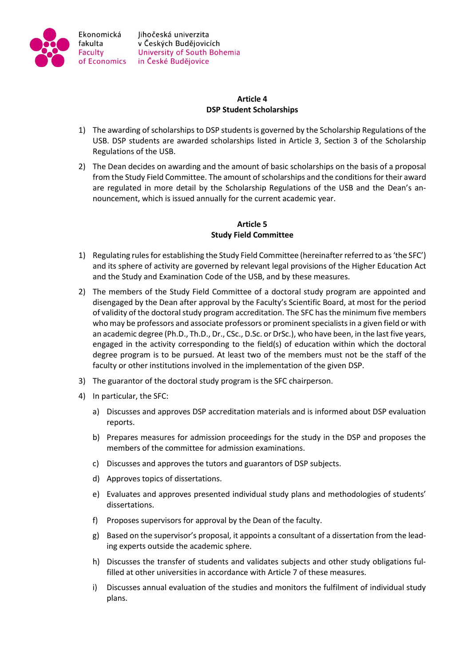

## **Article 4 DSP Student Scholarships**

- 1) The awarding of scholarships to DSP students is governed by the Scholarship Regulations of the USB. DSP students are awarded scholarships listed in Article 3, Section 3 of the Scholarship Regulations of the USB.
- 2) The Dean decides on awarding and the amount of basic scholarships on the basis of a proposal from the Study Field Committee. The amount of scholarships and the conditions for their award are regulated in more detail by the Scholarship Regulations of the USB and the Dean's announcement, which is issued annually for the current academic year.

## **Article 5 Study Field Committee**

- 1) Regulating rules for establishing the Study Field Committee (hereinafter referred to as 'the SFC') and its sphere of activity are governed by relevant legal provisions of the Higher Education Act and the Study and Examination Code of the USB, and by these measures.
- 2) The members of the Study Field Committee of a doctoral study program are appointed and disengaged by the Dean after approval by the Faculty's Scientific Board, at most for the period of validity of the doctoral study program accreditation. The SFC has the minimum five members who may be professors and associate professors or prominent specialists in a given field or with an academic degree (Ph.D., Th.D., Dr., CSc., D.Sc. or DrSc.), who have been, in the last five years, engaged in the activity corresponding to the field(s) of education within which the doctoral degree program is to be pursued. At least two of the members must not be the staff of the faculty or other institutions involved in the implementation of the given DSP.
- 3) The guarantor of the doctoral study program is the SFC chairperson.
- 4) In particular, the SFC:
	- a) Discusses and approves DSP accreditation materials and is informed about DSP evaluation reports.
	- b) Prepares measures for admission proceedings for the study in the DSP and proposes the members of the committee for admission examinations.
	- c) Discusses and approves the tutors and guarantors of DSP subjects.
	- d) Approves topics of dissertations.
	- e) Evaluates and approves presented individual study plans and methodologies of students' dissertations.
	- f) Proposes supervisors for approval by the Dean of the faculty.
	- g) Based on the supervisor's proposal, it appoints a consultant of a dissertation from the leading experts outside the academic sphere.
	- h) Discusses the transfer of students and validates subjects and other study obligations fulfilled at other universities in accordance with Article 7 of these measures.
	- i) Discusses annual evaluation of the studies and monitors the fulfilment of individual study plans.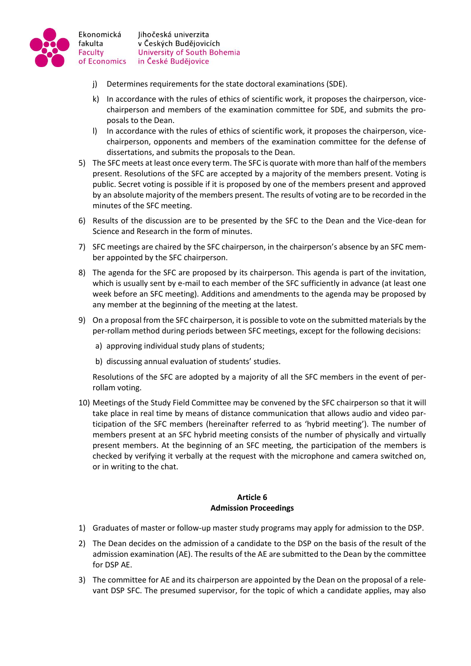

Ekonomická fakulta

Faculty

- j) Determines requirements for the state doctoral examinations (SDE).
- k) In accordance with the rules of ethics of scientific work, it proposes the chairperson, vicechairperson and members of the examination committee for SDE, and submits the proposals to the Dean.
- l) In accordance with the rules of ethics of scientific work, it proposes the chairperson, vicechairperson, opponents and members of the examination committee for the defense of dissertations, and submits the proposals to the Dean.
- 5) The SFC meets at least once every term. The SFC is quorate with more than half of the members present. Resolutions of the SFC are accepted by a majority of the members present. Voting is public. Secret voting is possible if it is proposed by one of the members present and approved by an absolute majority of the members present. The results of voting are to be recorded in the minutes of the SFC meeting.
- 6) Results of the discussion are to be presented by the SFC to the Dean and the Vice-dean for Science and Research in the form of minutes.
- 7) SFC meetings are chaired by the SFC chairperson, in the chairperson's absence by an SFC member appointed by the SFC chairperson.
- 8) The agenda for the SFC are proposed by its chairperson. This agenda is part of the invitation, which is usually sent by e-mail to each member of the SFC sufficiently in advance (at least one week before an SFC meeting). Additions and amendments to the agenda may be proposed by any member at the beginning of the meeting at the latest.
- 9) On a proposal from the SFC chairperson, it is possible to vote on the submitted materials by the per-rollam method during periods between SFC meetings, except for the following decisions:
	- a) approving individual study plans of students;
	- b) discussing annual evaluation of students' studies.

Resolutions of the SFC are adopted by a majority of all the SFC members in the event of perrollam voting.

10) Meetings of the Study Field Committee may be convened by the SFC chairperson so that it will take place in real time by means of distance communication that allows audio and video participation of the SFC members (hereinafter referred to as 'hybrid meeting'). The number of members present at an SFC hybrid meeting consists of the number of physically and virtually present members. At the beginning of an SFC meeting, the participation of the members is checked by verifying it verbally at the request with the microphone and camera switched on, or in writing to the chat.

#### **Article 6 Admission Proceedings**

- 1) Graduates of master or follow-up master study programs may apply for admission to the DSP.
- 2) The Dean decides on the admission of a candidate to the DSP on the basis of the result of the admission examination (AE). The results of the AE are submitted to the Dean by the committee for DSP AE.
- 3) The committee for AE and its chairperson are appointed by the Dean on the proposal of a relevant DSP SFC. The presumed supervisor, for the topic of which a candidate applies, may also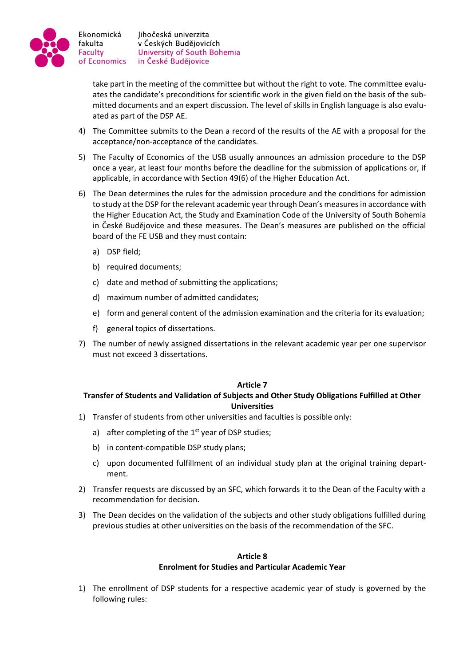

take part in the meeting of the committee but without the right to vote. The committee evaluates the candidate's preconditions for scientific work in the given field on the basis of the submitted documents and an expert discussion. The level of skills in English language is also evaluated as part of the DSP AE.

- 4) The Committee submits to the Dean a record of the results of the AE with a proposal for the acceptance/non-acceptance of the candidates.
- 5) The Faculty of Economics of the USB usually announces an admission procedure to the DSP once a year, at least four months before the deadline for the submission of applications or, if applicable, in accordance with Section 49(6) of the Higher Education Act.
- 6) The Dean determines the rules for the admission procedure and the conditions for admission to study at the DSP for the relevant academic year through Dean's measures in accordance with the Higher Education Act, the Study and Examination Code of the University of South Bohemia in České Budějovice and these measures. The Dean's measures are published on the official board of the FE USB and they must contain:
	- a) DSP field;
	- b) required documents;
	- c) date and method of submitting the applications;
	- d) maximum number of admitted candidates;
	- e) form and general content of the admission examination and the criteria for its evaluation;
	- f) general topics of dissertations.
- 7) The number of newly assigned dissertations in the relevant academic year per one supervisor must not exceed 3 dissertations.

#### **Article 7**

## **Transfer of Students and Validation of Subjects and Other Study Obligations Fulfilled at Other Universities**

- 1) Transfer of students from other universities and faculties is possible only:
	- a) after completing of the  $1<sup>st</sup>$  year of DSP studies;
	- b) in content-compatible DSP study plans;
	- c) upon documented fulfillment of an individual study plan at the original training department.
- 2) Transfer requests are discussed by an SFC, which forwards it to the Dean of the Faculty with a recommendation for decision.
- 3) The Dean decides on the validation of the subjects and other study obligations fulfilled during previous studies at other universities on the basis of the recommendation of the SFC.

## **Article 8 Enrolment for Studies and Particular Academic Year**

1) The enrollment of DSP students for a respective academic year of study is governed by the following rules: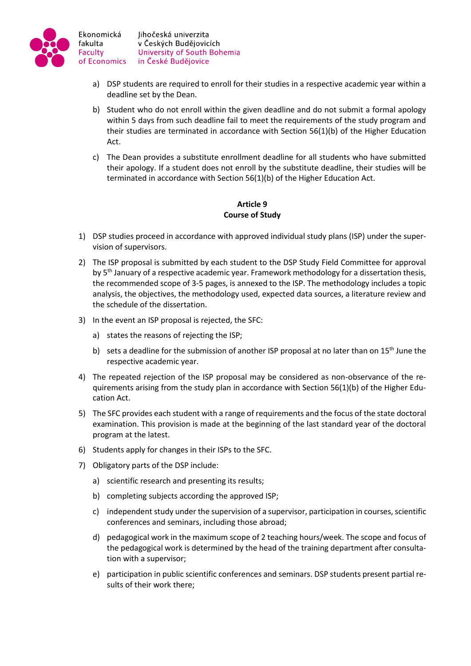

- a) DSP students are required to enroll for their studies in a respective academic year within a deadline set by the Dean.
- b) Student who do not enroll within the given deadline and do not submit a formal apology within 5 days from such deadline fail to meet the requirements of the study program and their studies are terminated in accordance with Section 56(1)(b) of the Higher Education Act.
- c) The Dean provides a substitute enrollment deadline for all students who have submitted their apology. If a student does not enroll by the substitute deadline, their studies will be terminated in accordance with Section 56(1)(b) of the Higher Education Act.

## **Article 9 Course of Study**

- 1) DSP studies proceed in accordance with approved individual study plans (ISP) under the supervision of supervisors.
- 2) The ISP proposal is submitted by each student to the DSP Study Field Committee for approval by 5<sup>th</sup> January of a respective academic year. Framework methodology for a dissertation thesis, the recommended scope of 3-5 pages, is annexed to the ISP. The methodology includes a topic analysis, the objectives, the methodology used, expected data sources, a literature review and the schedule of the dissertation.
- 3) In the event an ISP proposal is rejected, the SFC:
	- a) states the reasons of rejecting the ISP;
	- b) sets a deadline for the submission of another ISP proposal at no later than on  $15<sup>th</sup>$  June the respective academic year.
- 4) The repeated rejection of the ISP proposal may be considered as non-observance of the requirements arising from the study plan in accordance with Section 56(1)(b) of the Higher Education Act.
- 5) The SFC provides each student with a range of requirements and the focus of the state doctoral examination. This provision is made at the beginning of the last standard year of the doctoral program at the latest.
- 6) Students apply for changes in their ISPs to the SFC.
- 7) Obligatory parts of the DSP include:
	- a) scientific research and presenting its results;
	- b) completing subjects according the approved ISP;
	- c) independent study under the supervision of a supervisor, participation in courses, scientific conferences and seminars, including those abroad;
	- d) pedagogical work in the maximum scope of 2 teaching hours/week. The scope and focus of the pedagogical work is determined by the head of the training department after consultation with a supervisor;
	- e) participation in public scientific conferences and seminars. DSP students present partial results of their work there;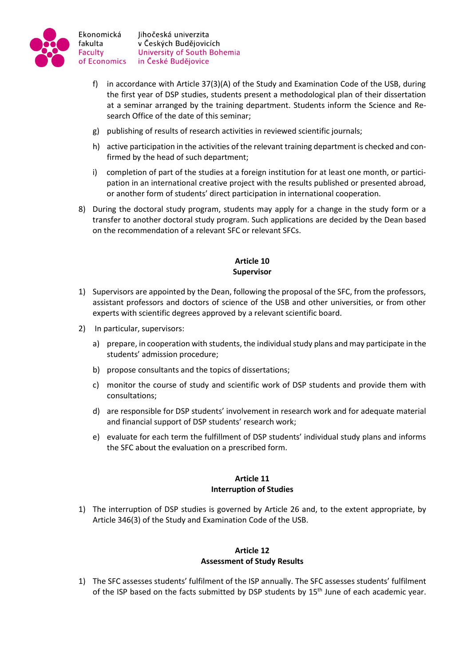

- f) in accordance with Article 37(3)(A) of the Study and Examination Code of the USB, during the first year of DSP studies, students present a methodological plan of their dissertation at a seminar arranged by the training department. Students inform the Science and Research Office of the date of this seminar;
- g) publishing of results of research activities in reviewed scientific journals;
- h) active participation in the activities of the relevant training department is checked and confirmed by the head of such department;
- i) completion of part of the studies at a foreign institution for at least one month, or participation in an international creative project with the results published or presented abroad, or another form of students' direct participation in international cooperation.
- 8) During the doctoral study program, students may apply for a change in the study form or a transfer to another doctoral study program. Such applications are decided by the Dean based on the recommendation of a relevant SFC or relevant SFCs.

## **Article 10 Supervisor**

- 1) Supervisors are appointed by the Dean, following the proposal of the SFC, from the professors, assistant professors and doctors of science of the USB and other universities, or from other experts with scientific degrees approved by a relevant scientific board.
- 2) In particular, supervisors:
	- a) prepare, in cooperation with students, the individual study plans and may participate in the students' admission procedure;
	- b) propose consultants and the topics of dissertations;
	- c) monitor the course of study and scientific work of DSP students and provide them with consultations;
	- d) are responsible for DSP students' involvement in research work and for adequate material and financial support of DSP students' research work;
	- e) evaluate for each term the fulfillment of DSP students' individual study plans and informs the SFC about the evaluation on a prescribed form.

## **Article 11 Interruption of Studies**

1) The interruption of DSP studies is governed by Article 26 and, to the extent appropriate, by Article 346(3) of the Study and Examination Code of the USB.

## **Article 12 Assessment of Study Results**

1) The SFC assesses students' fulfilment of the ISP annually. The SFC assesses students' fulfilment of the ISP based on the facts submitted by DSP students by  $15<sup>th</sup>$  June of each academic year.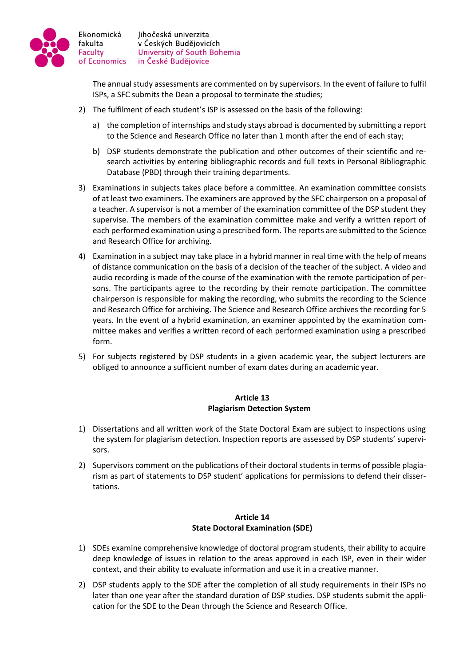

The annual study assessments are commented on by supervisors. In the event of failure to fulfil ISPs, a SFC submits the Dean a proposal to terminate the studies;

- 2) The fulfilment of each student's ISP is assessed on the basis of the following:
	- a) the completion of internships and study stays abroad is documented by submitting a report to the Science and Research Office no later than 1 month after the end of each stay;
	- b) DSP students demonstrate the publication and other outcomes of their scientific and research activities by entering bibliographic records and full texts in Personal Bibliographic Database (PBD) through their training departments.
- 3) Examinations in subjects takes place before a committee. An examination committee consists of at least two examiners. The examiners are approved by the SFC chairperson on a proposal of a teacher. A supervisor is not a member of the examination committee of the DSP student they supervise. The members of the examination committee make and verify a written report of each performed examination using a prescribed form. The reports are submitted to the Science and Research Office for archiving.
- 4) Examination in a subject may take place in a hybrid manner in real time with the help of means of distance communication on the basis of a decision of the teacher of the subject. A video and audio recording is made of the course of the examination with the remote participation of persons. The participants agree to the recording by their remote participation. The committee chairperson is responsible for making the recording, who submits the recording to the Science and Research Office for archiving. The Science and Research Office archives the recording for 5 years. In the event of a hybrid examination, an examiner appointed by the examination committee makes and verifies a written record of each performed examination using a prescribed form.
- 5) For subjects registered by DSP students in a given academic year, the subject lecturers are obliged to announce a sufficient number of exam dates during an academic year.

## **Article 13 Plagiarism Detection System**

- 1) Dissertations and all written work of the State Doctoral Exam are subject to inspections using the system for plagiarism detection. Inspection reports are assessed by DSP students' supervisors.
- 2) Supervisors comment on the publications of their doctoral students in terms of possible plagiarism as part of statements to DSP student' applications for permissions to defend their dissertations.

## **Article 14 State Doctoral Examination (SDE)**

- 1) SDEs examine comprehensive knowledge of doctoral program students, their ability to acquire deep knowledge of issues in relation to the areas approved in each ISP, even in their wider context, and their ability to evaluate information and use it in a creative manner.
- 2) DSP students apply to the SDE after the completion of all study requirements in their ISPs no later than one year after the standard duration of DSP studies. DSP students submit the application for the SDE to the Dean through the Science and Research Office.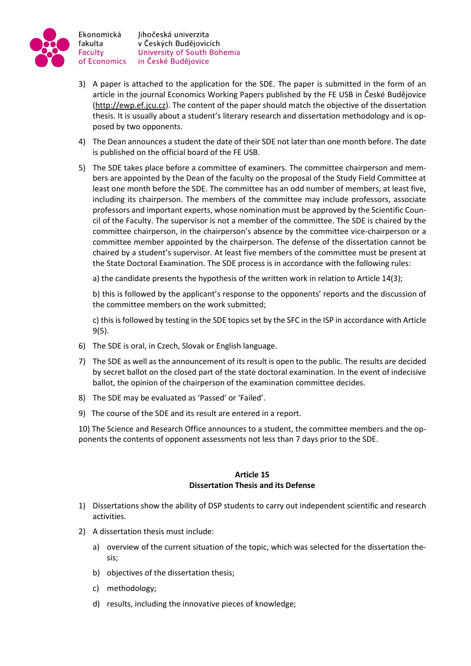

Jihočeská univerzita v Českých Budějovicích University of South Bohemia in České Budějovice

- 3) A paper is attached to the application for the SDE. The paper is submitted in the form of an article in the journal Economics Working Papers published by the FE USB in České Budějovice [\(http://ewp.ef.jcu.cz\)](http://ewp.ef.jcu.cz/). The content of the paper should match the objective of the dissertation thesis. It is usually about a student's literary research and dissertation methodology and is opposed by two opponents.
- 4) The Dean announces a student the date of their SDE not later than one month before. The date is published on the official board of the FE USB.
- 5) The SDE takes place before a committee of examiners. The committee chairperson and members are appointed by the Dean of the faculty on the proposal of the Study Field Committee at least one month before the SDE. The committee has an odd number of members, at least five, including its chairperson. The members of the committee may include professors, associate professors and important experts, whose nomination must be approved by the Scientific Council of the Faculty. The supervisor is not a member of the committee. The SDE is chaired by the committee chairperson, in the chairperson's absence by the committee vice-chairperson or a committee member appointed by the chairperson. The defense of the dissertation cannot be chaired by a student's supervisor. At least five members of the committee must be present at the State Doctoral Examination. The SDE process is in accordance with the following rules:

a) the candidate presents the hypothesis of the written work in relation to Article 14(3);

b) this is followed by the applicant's response to the opponents' reports and the discussion of the committee members on the work submitted;

c) this is followed by testing in the SDE topics set by the SFC in the ISP in accordance with Article 9(5).

- 6) The SDE is oral, in Czech, Slovak or English language.
- 7) The SDE as well as the announcement of its result is open to the public. The results are decided by secret ballot on the closed part of the state doctoral examination. In the event of indecisive ballot, the opinion of the chairperson of the examination committee decides.
- 8) The SDE may be evaluated as 'Passed' or 'Failed'.
- 9) The course of the SDE and its result are entered in a report.

10) The Science and Research Office announces to a student, the committee members and the opponents the contents of opponent assessments not less than 7 days prior to the SDE.

#### **Article 15 Dissertation Thesis and its Defense**

- 1) Dissertations show the ability of DSP students to carry out independent scientific and research activities.
- 2) A dissertation thesis must include:
	- a) overview of the current situation of the topic, which was selected for the dissertation thesis;
	- b) objectives of the dissertation thesis;
	- c) methodology;
	- d) results, including the innovative pieces of knowledge;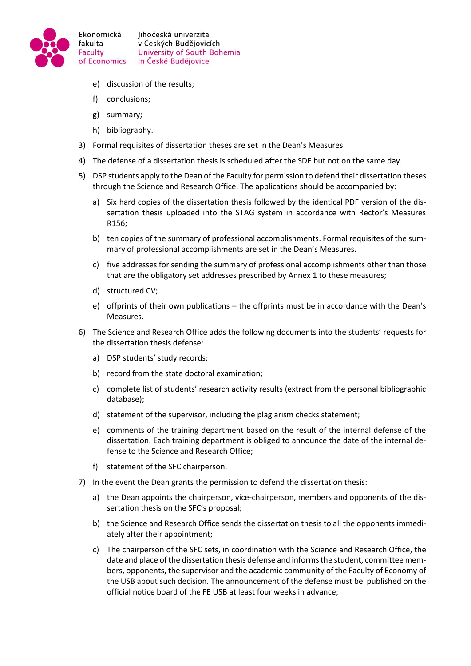

- e) discussion of the results;
- f) conclusions;
- g) summary;
- h) bibliography.
- 3) Formal requisites of dissertation theses are set in the Dean's Measures.
- 4) The defense of a dissertation thesis is scheduled after the SDE but not on the same day.
- 5) DSP students apply to the Dean of the Faculty for permission to defend their dissertation theses through the Science and Research Office. The applications should be accompanied by:
	- a) Six hard copies of the dissertation thesis followed by the identical PDF version of the dissertation thesis uploaded into the STAG system in accordance with Rector's Measures R156;
	- b) ten copies of the summary of professional accomplishments. Formal requisites of the summary of professional accomplishments are set in the Dean's Measures.
	- c) five addresses for sending the summary of professional accomplishments other than those that are the obligatory set addresses prescribed by Annex 1 to these measures;
	- d) structured CV;
	- e) offprints of their own publications the offprints must be in accordance with the Dean's Measures.
- 6) The Science and Research Office adds the following documents into the students' requests for the dissertation thesis defense:
	- a) DSP students' study records;
	- b) record from the state doctoral examination;
	- c) complete list of students' research activity results (extract from the personal bibliographic database);
	- d) statement of the supervisor, including the plagiarism checks statement;
	- e) comments of the training department based on the result of the internal defense of the dissertation. Each training department is obliged to announce the date of the internal defense to the Science and Research Office;
	- f) statement of the SFC chairperson.
- 7) In the event the Dean grants the permission to defend the dissertation thesis:
	- a) the Dean appoints the chairperson, vice-chairperson, members and opponents of the dissertation thesis on the SFC's proposal;
	- b) the Science and Research Office sends the dissertation thesis to all the opponents immediately after their appointment;
	- c) The chairperson of the SFC sets, in coordination with the Science and Research Office, the date and place of the dissertation thesis defense and informs the student, committee members, opponents, the supervisor and the academic community of the Faculty of Economy of the USB about such decision. The announcement of the defense must be published on the official notice board of the FE USB at least four weeks in advance;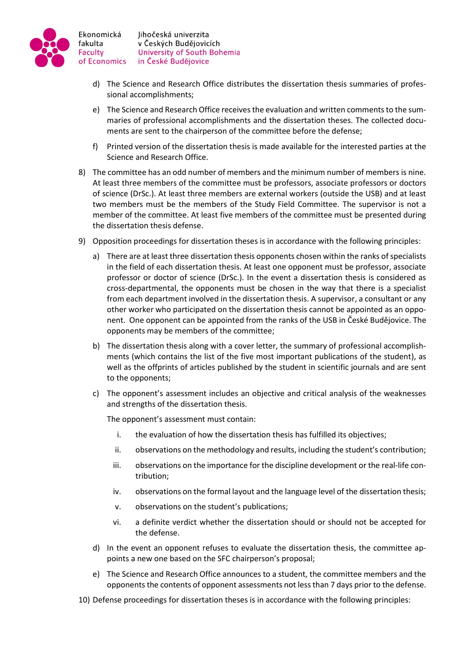

- Jihočeská univerzita v Českých Budějovicích University of South Bohemia in České Budějovice
- d) The Science and Research Office distributes the dissertation thesis summaries of professional accomplishments;
- e) The Science and Research Office receives the evaluation and written comments to the summaries of professional accomplishments and the dissertation theses. The collected documents are sent to the chairperson of the committee before the defense;
- f) Printed version of the dissertation thesis is made available for the interested parties at the Science and Research Office.
- 8) The committee has an odd number of members and the minimum number of members is nine. At least three members of the committee must be professors, associate professors or doctors of science (DrSc.). At least three members are external workers (outside the USB) and at least two members must be the members of the Study Field Committee. The supervisor is not a member of the committee. At least five members of the committee must be presented during the dissertation thesis defense.
- 9) Opposition proceedings for dissertation theses is in accordance with the following principles:
	- a) There are at least three dissertation thesis opponents chosen within the ranks of specialists in the field of each dissertation thesis. At least one opponent must be professor, associate professor or doctor of science (DrSc.). In the event a dissertation thesis is considered as cross-departmental, the opponents must be chosen in the way that there is a specialist from each department involved in the dissertation thesis. A supervisor, a consultant or any other worker who participated on the dissertation thesis cannot be appointed as an opponent. One opponent can be appointed from the ranks of the USB in České Budějovice. The opponents may be members of the committee;
	- b) The dissertation thesis along with a cover letter, the summary of professional accomplishments (which contains the list of the five most important publications of the student), as well as the offprints of articles published by the student in scientific journals and are sent to the opponents;
	- c) The opponent's assessment includes an objective and critical analysis of the weaknesses and strengths of the dissertation thesis.

The opponent's assessment must contain:

- i. the evaluation of how the dissertation thesis has fulfilled its objectives;
- ii. observations on the methodology and results, including the student's contribution;
- iii. observations on the importance for the discipline development or the real-life contribution;
- iv. observations on the formal layout and the language level of the dissertation thesis;
- v. observations on the student's publications;
- vi. a definite verdict whether the dissertation should or should not be accepted for the defense.
- d) In the event an opponent refuses to evaluate the dissertation thesis, the committee appoints a new one based on the SFC chairperson's proposal;
- e) The Science and Research Office announces to a student, the committee members and the opponents the contents of opponent assessments not less than 7 days prior to the defense.
- 10) Defense proceedings for dissertation theses is in accordance with the following principles: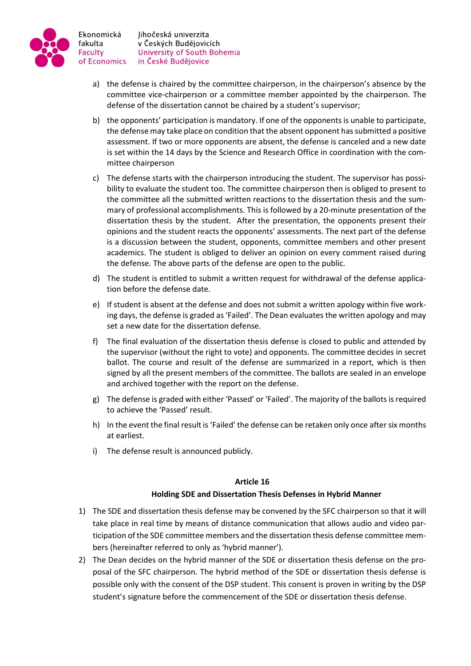

- a) the defense is chaired by the committee chairperson, in the chairperson's absence by the committee vice-chairperson or a committee member appointed by the chairperson. The defense of the dissertation cannot be chaired by a student's supervisor;
- b) the opponents' participation is mandatory. If one of the opponents is unable to participate, the defense may take place on condition that the absent opponent has submitted a positive assessment. If two or more opponents are absent, the defense is canceled and a new date is set within the 14 days by the Science and Research Office in coordination with the committee chairperson
- c) The defense starts with the chairperson introducing the student. The supervisor has possibility to evaluate the student too. The committee chairperson then is obliged to present to the committee all the submitted written reactions to the dissertation thesis and the summary of professional accomplishments. This is followed by a 20-minute presentation of the dissertation thesis by the student. After the presentation, the opponents present their opinions and the student reacts the opponents' assessments. The next part of the defense is a discussion between the student, opponents, committee members and other present academics. The student is obliged to deliver an opinion on every comment raised during the defense. The above parts of the defense are open to the public.
- d) The student is entitled to submit a written request for withdrawal of the defense application before the defense date.
- e) If student is absent at the defense and does not submit a written apology within five working days, the defense is graded as 'Failed'. The Dean evaluates the written apology and may set a new date for the dissertation defense.
- f) The final evaluation of the dissertation thesis defense is closed to public and attended by the supervisor (without the right to vote) and opponents. The committee decides in secret ballot. The course and result of the defense are summarized in a report, which is then signed by all the present members of the committee. The ballots are sealed in an envelope and archived together with the report on the defense.
- g) The defense is graded with either 'Passed' or 'Failed'. The majority of the ballots is required to achieve the 'Passed' result.
- h) In the event the final result is 'Failed' the defense can be retaken only once after six months at earliest.
- i) The defense result is announced publicly.

## **Article 16**

## **Holding SDE and Dissertation Thesis Defenses in Hybrid Manner**

- 1) The SDE and dissertation thesis defense may be convened by the SFC chairperson so that it will take place in real time by means of distance communication that allows audio and video participation of the SDE committee members and the dissertation thesis defense committee members (hereinafter referred to only as 'hybrid manner').
- 2) The Dean decides on the hybrid manner of the SDE or dissertation thesis defense on the proposal of the SFC chairperson. The hybrid method of the SDE or dissertation thesis defense is possible only with the consent of the DSP student. This consent is proven in writing by the DSP student's signature before the commencement of the SDE or dissertation thesis defense.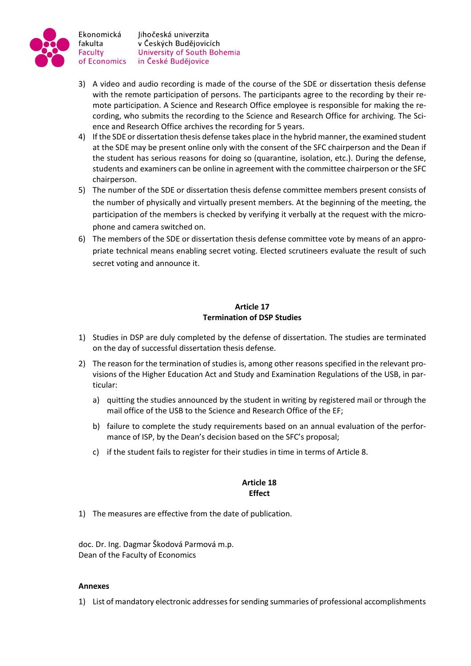

Ekonomická fakulta Faculty of Economics

Jihočeská univerzita v Českých Budějovicích University of South Bohemia in České Budějovice

- 3) A video and audio recording is made of the course of the SDE or dissertation thesis defense with the remote participation of persons. The participants agree to the recording by their remote participation. A Science and Research Office employee is responsible for making the recording, who submits the recording to the Science and Research Office for archiving. The Science and Research Office archives the recording for 5 years.
- 4) If the SDE or dissertation thesis defense takes place in the hybrid manner, the examined student at the SDE may be present online only with the consent of the SFC chairperson and the Dean if the student has serious reasons for doing so (quarantine, isolation, etc.). During the defense, students and examiners can be online in agreement with the committee chairperson or the SFC chairperson.
- 5) The number of the SDE or dissertation thesis defense committee members present consists of the number of physically and virtually present members. At the beginning of the meeting, the participation of the members is checked by verifying it verbally at the request with the microphone and camera switched on.
- 6) The members of the SDE or dissertation thesis defense committee vote by means of an appropriate technical means enabling secret voting. Elected scrutineers evaluate the result of such secret voting and announce it.

# **Article 17 Termination of DSP Studies**

- 1) Studies in DSP are duly completed by the defense of dissertation. The studies are terminated on the day of successful dissertation thesis defense.
- 2) The reason for the termination of studies is, among other reasons specified in the relevant provisions of the Higher Education Act and Study and Examination Regulations of the USB, in particular:
	- a) quitting the studies announced by the student in writing by registered mail or through the mail office of the USB to the Science and Research Office of the EF;
	- b) failure to complete the study requirements based on an annual evaluation of the performance of ISP, by the Dean's decision based on the SFC's proposal;
	- c) if the student fails to register for their studies in time in terms of Article 8.

## **Article 18 Effect**

1) The measures are effective from the date of publication.

doc. Dr. Ing. Dagmar Škodová Parmová m.p. Dean of the Faculty of Economics

## **Annexes**

1) List of mandatory electronic addresses for sending summaries of professional accomplishments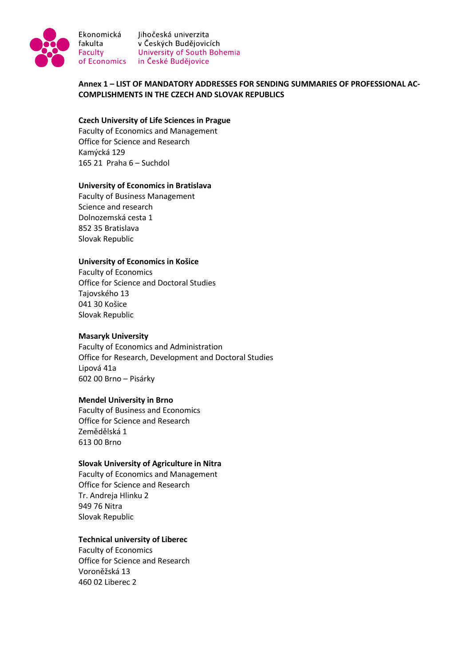

Ekonomická

Jihočeská univerzita Francische Maria (Francisco v Českých Budějovicích<br>Faculty – University of South Bohemia<br>of Economics – in České Budějovice of Economics in České Budějovice

**Annex 1 – LIST OF MANDATORY ADDRESSES FOR SENDING SUMMARIES OF PROFESSIONAL AC-COMPLISHMENTS IN THE CZECH AND SLOVAK REPUBLICS**

#### **Czech University of Life Sciences in Prague**

Faculty of Economics and Management Office for Science and Research Kamýcká 129 165 21 Praha 6 – Suchdol

#### **University of Economics in Bratislava**

Faculty of Business Management Science and research Dolnozemská cesta 1 852 35 Bratislava Slovak Republic

#### **University of Economics in Košice**

Faculty of Economics Office for Science and Doctoral Studies Tajovského 13 041 30 Košice Slovak Republic

#### **Masaryk University**

Faculty of Economics and Administration Office for Research, Development and Doctoral Studies Lipová 41a 602 00 Brno – Pisárky

#### **Mendel University in Brno**

Faculty of Business and Economics Office for Science and Research Zemědělská 1 613 00 Brno

#### **Slovak University of Agriculture in Nitra**

Faculty of Economics and Management Office for Science and Research Tr. Andreja Hlinku 2 949 76 Nitra Slovak Republic

#### **Technical university of Liberec**

Faculty of Economics Office for Science and Research Voroněžská 13 460 02 Liberec 2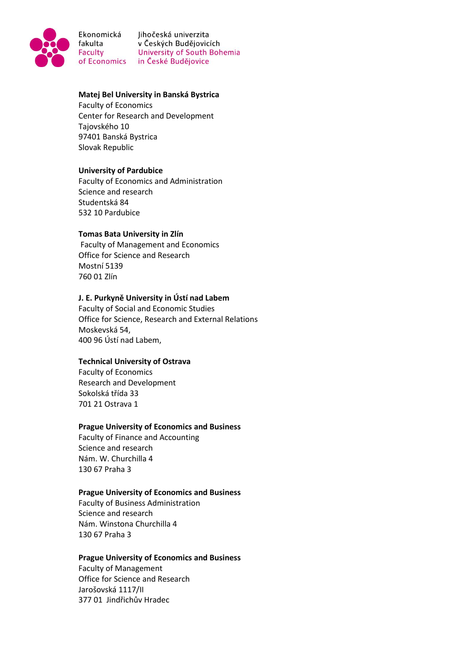

Ekonomická Jihočeská univerzita Francische Maria (Francisco v Českých Budějovicích<br>Faculty – University of South Bohemia<br>of Economics – in České Budějovice of Economics in České Budějovice

#### **Matej Bel University in Banská Bystrica**

Faculty of Economics Center for Research and Development Tajovského 10 97401 Banská Bystrica Slovak Republic

#### **University of Pardubice**

Faculty of Economics and Administration Science and research Studentská 84 532 10 Pardubice

#### **Tomas Bata University in Zlín**

Faculty of Management and Economics Office for Science and Research Mostní 5139 760 01 Zlín

#### **J. E. Purkyně University in Ústí nad Labem**

Faculty of Social and Economic Studies Office for Science, Research and External Relations Moskevská 54, 400 96 Ústí nad Labem,

#### **Technical University of Ostrava**

Faculty of Economics Research and Development Sokolská třída 33 701 21 Ostrava 1

#### **Prague University of Economics and Business**

Faculty of Finance and Accounting Science and research Nám. W. Churchilla 4 130 67 Praha 3

#### **Prague University of Economics and Business**

Faculty of Business Administration Science and research Nám. Winstona Churchilla 4 130 67 Praha 3

#### **Prague University of Economics and Business**

Faculty of Management Office for Science and Research Jarošovská 1117/II 377 01 Jindřichův Hradec